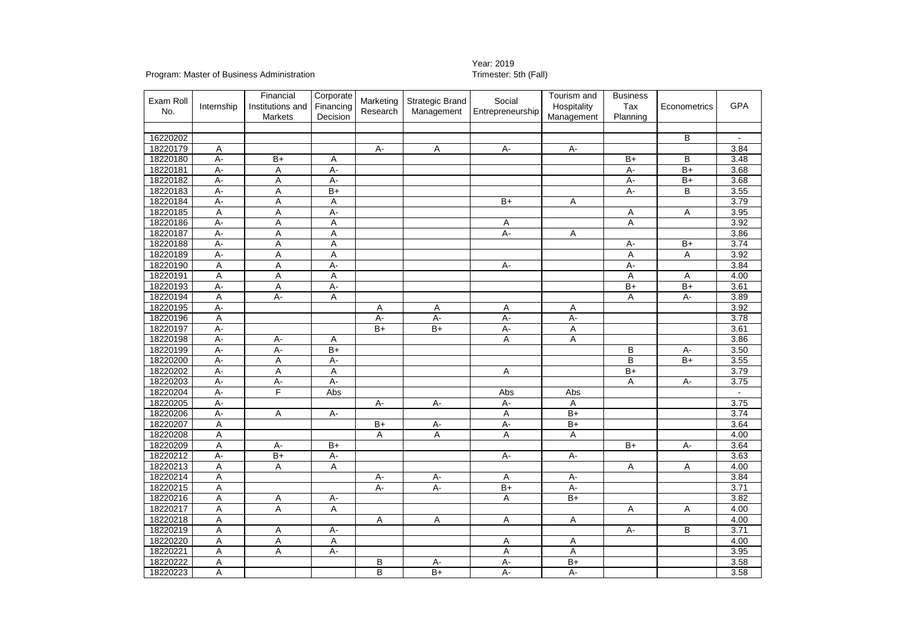## Year: 2019<br>Trimester: 5th (Fall)

## Program: Master of Business Administration

| Exam Roll<br>No. | Internship | Financial<br>Institutions and<br>Markets | Corporate<br>Financing<br>Decision | Marketing<br>Research | <b>Strategic Brand</b><br>Management | Social<br>Entrepreneurship | Tourism and<br>Hospitality<br>Management | <b>Business</b><br>Tax<br>Planning | Econometrics   | <b>GPA</b> |
|------------------|------------|------------------------------------------|------------------------------------|-----------------------|--------------------------------------|----------------------------|------------------------------------------|------------------------------------|----------------|------------|
|                  |            |                                          |                                    |                       |                                      |                            |                                          |                                    |                |            |
| 16220202         |            |                                          |                                    |                       |                                      |                            |                                          |                                    | B              |            |
| 18220179         | A          |                                          |                                    | $A -$                 | A                                    | $A -$                      | $\overline{A}$                           |                                    |                | 3.84       |
| 18220180         | A-         | $B+$                                     | Α                                  |                       |                                      |                            |                                          | $B+$                               | B              | 3.48       |
| 18220181         | А-         | Α                                        | А-                                 |                       |                                      |                            |                                          | А-                                 | B+             | 3.68       |
| 18220182         | $A -$      | A                                        | $A -$                              |                       |                                      |                            |                                          | A-                                 | $B+$           | 3.68       |
| 18220183         | $A -$      | Α                                        | $B+$                               |                       |                                      |                            |                                          | $A -$                              | B              | 3.55       |
| 18220184         | A-         | Α                                        | Α                                  |                       |                                      | $B+$                       | Α                                        |                                    |                | 3.79       |
| 18220185         | Α          | A                                        | A-                                 |                       |                                      |                            |                                          | Α                                  | Α              | 3.95       |
| 18220186         | A-         | A                                        | Α                                  |                       |                                      | Α                          |                                          | А                                  |                | 3.92       |
| 18220187         | A-         | A                                        | Α                                  |                       |                                      | A-                         | Α                                        |                                    |                | 3.86       |
| 18220188         | A-         | Α                                        | Α                                  |                       |                                      |                            |                                          | A-                                 | B+             | 3.74       |
| 18220189         | А-         | Α                                        | Α                                  |                       |                                      |                            |                                          | Α                                  | Α              | 3.92       |
| 18220190         | Α          | A                                        | A-                                 |                       |                                      | А-                         |                                          | A-                                 |                | 3.84       |
| 18220191         | Α          | A                                        | Α                                  |                       |                                      |                            |                                          | Α                                  | Α              | 4.00       |
| 18220193         | $A -$      | A                                        | А-                                 |                       |                                      |                            |                                          | $B+$                               | $B+$           | 3.61       |
| 18220194         | Α          | А-                                       | Α                                  |                       |                                      |                            |                                          | Α                                  | А-             | 3.89       |
| 18220195         | A-         |                                          |                                    | Α                     | Α                                    | Α                          | Α                                        |                                    |                | 3.92       |
| 18220196         | Α          |                                          |                                    | $A -$                 | $A -$                                | $A -$                      | $A -$                                    |                                    |                | 3.78       |
| 18220197         | A-         |                                          |                                    | $\overline{B+}$       | $B+$                                 | А-                         | Α                                        |                                    |                | 3.61       |
| 18220198         | А-         | А-                                       | Α                                  |                       |                                      | Α                          | Α                                        |                                    |                | 3.86       |
| 18220199         | A-         | $A -$                                    | $B+$                               |                       |                                      |                            |                                          | B                                  | A-             | 3.50       |
| 18220200         | A-         | A                                        | A-                                 |                       |                                      |                            |                                          | в                                  | $B+$           | 3.55       |
| 18220202         | $A -$      | Α                                        | Α                                  |                       |                                      | Α                          |                                          | $\overline{B+}$                    |                | 3.79       |
| 18220203         | A-         | $\overline{A}$                           | A-                                 |                       |                                      |                            |                                          | Α                                  | $\overline{A}$ | 3.75       |
| 18220204         | А-         | F                                        | Abs                                |                       |                                      | Abs                        | Abs                                      |                                    |                |            |
| 18220205         | А-         |                                          |                                    | A-                    | Α.                                   | A-                         | Α                                        |                                    |                | 3.75       |
| 18220206         | $A -$      | A                                        | А-                                 |                       |                                      | A                          | $\overline{B+}$                          |                                    |                | 3.74       |
| 18220207         | Α          |                                          |                                    | $B+$                  | А-                                   | A-                         | $B+$                                     |                                    |                | 3.64       |
| 18220208         | A          |                                          |                                    | A                     | A                                    | A                          | Α                                        |                                    |                | 4.00       |
| 18220209         | Α          | A-                                       | $B+$                               |                       |                                      |                            |                                          | $\overline{B+}$                    | A-             | 3.64       |
| 18220212         | A-         | $\overline{B+}$                          | A-                                 |                       |                                      | $A -$                      | А-                                       |                                    |                | 3.63       |
| 18220213         | Α          | A                                        | A                                  |                       |                                      |                            |                                          | Α                                  | Α              | 4.00       |
| 18220214         | Α          |                                          |                                    | A-                    | A-                                   | Α                          | A-                                       |                                    |                | 3.84       |
| 18220215         | Α          |                                          |                                    | A-                    | A-                                   | $B+$                       | A-                                       |                                    |                | 3.71       |
| 18220216         | Α          | Α                                        | A-                                 |                       |                                      | Α                          | $\overline{B+}$                          |                                    |                | 3.82       |
| 18220217         | Α          | A                                        | Α                                  |                       |                                      |                            |                                          | Α                                  | Α              | 4.00       |
| 18220218         | Α          |                                          |                                    | Α                     | Α                                    | Α                          | Α                                        |                                    |                | 4.00       |
| 18220219         | Α          | Α                                        | А-                                 |                       |                                      |                            |                                          | А-                                 | B              | 3.71       |
| 18220220         | Α          | Α                                        | Α                                  |                       |                                      | Α                          | Α                                        |                                    |                | 4.00       |
| 18220221         | Α          | A                                        | A-                                 |                       |                                      | Α                          | Α                                        |                                    |                | 3.95       |
| 18220222         | Α          |                                          |                                    | B                     | А-                                   | A-                         | $B+$                                     |                                    |                | 3.58       |
| 18220223         | Α          |                                          |                                    | $\overline{B}$        | $\overline{B+}$                      | $A -$                      | $A -$                                    |                                    |                | 3.58       |